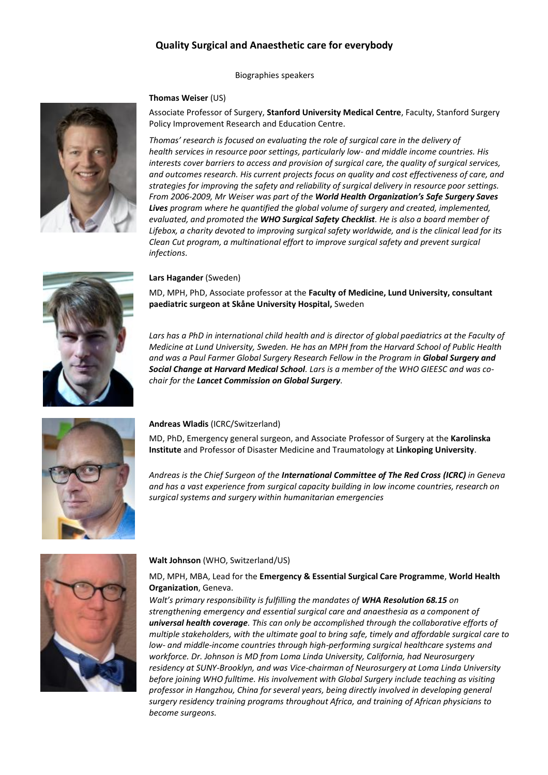# **Quality Surgical and Anaesthetic care for everybody**

Biographies speakers

### **Thomas Weiser** (US)

Associate Professor of Surgery, **Stanford University Medical Centre**, Faculty, Stanford Surgery Policy Improvement Research and Education Centre.

*Thomas' research is focused on evaluating the role of surgical care in the delivery of health services in resource poor settings, particularly low- and middle income countries. His interests cover barriers to access and provision of surgical care, the quality of surgical services, and outcomes research. His current projects focus on quality and cost effectiveness of care, and strategies for improving the safety and reliability of surgical delivery in resource poor settings. From 2006-2009, Mr Weiser was part of the World Health Organization's Safe Surgery Saves Lives program where he quantified the global volume of surgery and created, implemented, evaluated, and promoted the WHO Surgical Safety Checklist. He is also a board member of Lifebox, a charity devoted to improving surgical safety worldwide, and is the clinical lead for its Clean Cut program, a multinational effort to improve surgical safety and prevent surgical infections.*

#### **Lars Hagander** (Sweden)

MD, MPH, PhD, Associate professor at the **Faculty of Medicine, Lund University, consultant paediatric surgeon at Skåne University Hospital,** Sweden

Lars has a PhD in international child health and is director of global paediatrics at the Faculty of *Medicine at Lund University, Sweden. He has an MPH from the Harvard School of Public Health and was a Paul Farmer Global Surgery Research Fellow in the Program in Global Surgery and Social Change at Harvard Medical School. Lars is a member of the WHO GIEESC and was cochair for the Lancet Commission on Global Surgery.*



### **Andreas Wladis** (ICRC/Switzerland)

MD, PhD, Emergency general surgeon, and Associate Professor of Surgery at the **Karolinska Institute** and Professor of Disaster Medicine and Traumatology at **Linkoping University**.

*Andreas is the Chief Surgeon of the International Committee of The Red Cross (ICRC) in Geneva and has a vast experience from surgical capacity building in low income countries, research on surgical systems and surgery within humanitarian emergencies*



### **Walt Johnson** (WHO, Switzerland/US)

MD, MPH, MBA, Lead for the **Emergency & Essential Surgical Care Programme**, **World Health Organization**, Geneva.

*Walt's primary responsibility is fulfilling the mandates of WHA Resolution 68.15 on strengthening emergency and essential surgical care and anaesthesia as a component of universal health coverage. This can only be accomplished through the collaborative efforts of multiple stakeholders, with the ultimate goal to bring safe, timely and affordable surgical care to low- and middle-income countries through high-performing surgical healthcare systems and workforce. Dr. Johnson is MD from Loma Linda University, California, had Neurosurgery residency at SUNY-Brooklyn, and was Vice-chairman of Neurosurgery at Loma Linda University before joining WHO fulltime. His involvement with Global Surgery include teaching as visiting professor in Hangzhou, China for several years, being directly involved in developing general surgery residency training programs throughout Africa, and training of African physicians to become surgeons.* 

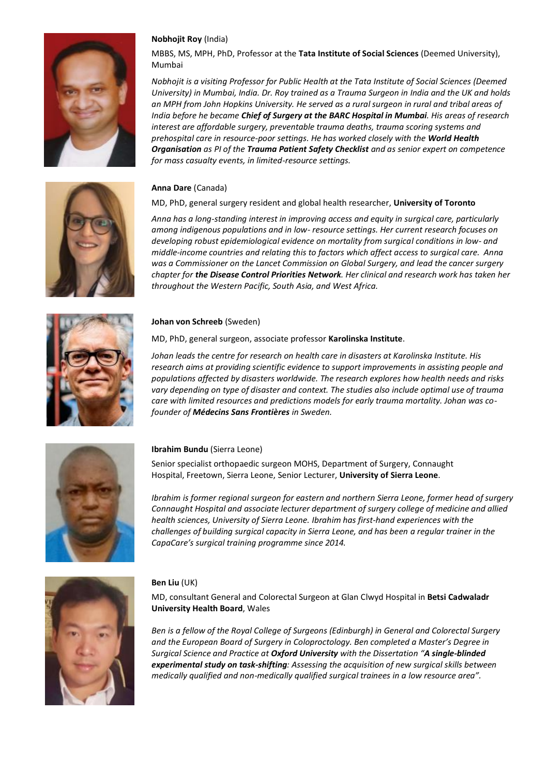

# **Nobhojit Roy** (India)

MBBS, MS, MPH, PhD, Professor at the **Tata Institute of Social Sciences** (Deemed University), Mumbai

*Nobhojit is a visiting Professor for Public Health at the Tata Institute of Social Sciences (Deemed University) in Mumbai, India. Dr. Roy trained as a Trauma Surgeon in India and the UK and holds an MPH from John Hopkins University. He served as a rural surgeon in rural and tribal areas of India before he became Chief of Surgery at the BARC Hospital in Mumbai. His areas of research interest are affordable surgery, preventable trauma deaths, trauma scoring systems and prehospital care in resource-poor settings. He has worked closely with the World Health Organisation as PI of the Trauma Patient Safety Checklist and as senior expert on competence for mass casualty events, in limited-resource settings.*

### **Anna Dare** (Canada)

### MD, PhD, general surgery resident and global health researcher, **University of Toronto**

*Anna has a long-standing interest in improving access and equity in surgical care, particularly among indigenous populations and in low- resource settings. Her current research focuses on developing robust epidemiological evidence on mortality from surgical conditions in low- and middle-income countries and relating this to factors which affect access to surgical care. Anna was a Commissioner on the Lancet Commission on Global Surgery, and lead the cancer surgery chapter for the Disease Control Priorities Network. Her clinical and research work has taken her throughout the Western Pacific, South Asia, and West Africa.* 



#### **Johan von Schreeb** (Sweden)

MD, PhD, general surgeon, associate professor **Karolinska Institute**.

*Johan leads the centre for research on health care in disasters at Karolinska Institute. His research aims at providing scientific evidence to support improvements in assisting people and populations affected by disasters worldwide. The research explores how health needs and risks vary depending on type of disaster and context. The studies also include optimal use of trauma care with limited resources and predictions models for early trauma mortality. Johan was cofounder of Médecins Sans Frontières in Sweden.*



### **Ibrahim Bundu** (Sierra Leone)

Senior specialist orthopaedic surgeon MOHS, Department of Surgery, Connaught Hospital, Freetown, Sierra Leone, Senior Lecturer, **University of Sierra Leone**.

*Ibrahim is former regional surgeon for eastern and northern Sierra Leone, former head of surgery Connaught Hospital and associate lecturer department of surgery college of medicine and allied health sciences, University of Sierra Leone. Ibrahim has first-hand experiences with the challenges of building surgical capacity in Sierra Leone, and has been a regular trainer in the CapaCare's surgical training programme since 2014.* 



#### **Ben Liu** (UK)

MD, consultant General and Colorectal Surgeon at Glan Clwyd Hospital in **Betsi Cadwaladr University Health Board**, Wales

*Ben is a fellow of the Royal College of Surgeons (Edinburgh) in General and Colorectal Surgery and the European Board of Surgery in Coloproctology. Ben completed a Master's Degree in Surgical Science and Practice at Oxford University with the Dissertation "A single-blinded experimental study on task-shifting: Assessing the acquisition of new surgical skills between medically qualified and non-medically qualified surgical trainees in a low resource area".* 

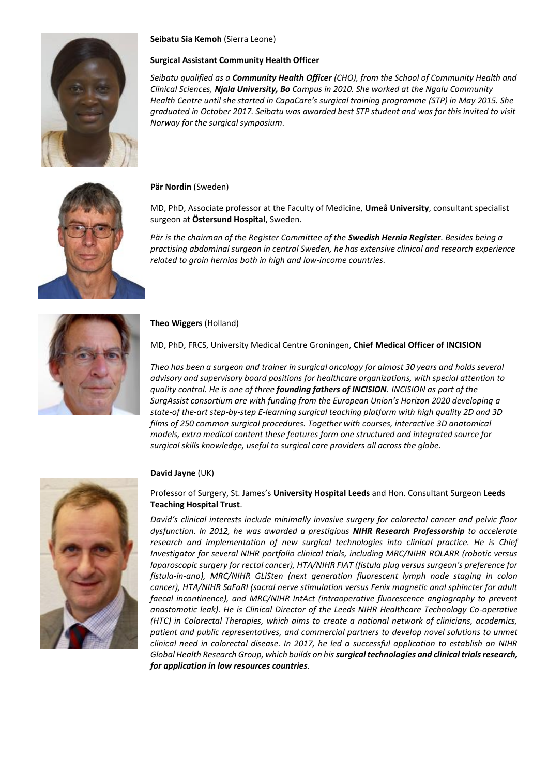

## **Seibatu Sia Kemoh** (Sierra Leone)

#### **Surgical Assistant Community Health Officer**

*Seibatu qualified as a Community Health Officer (CHO), from the School of Community Health and Clinical Sciences, Njala University, Bo Campus in 2010. She worked at the Ngalu Community Health Centre until she started in CapaCare's surgical training programme (STP) in May 2015. She graduated in October 2017. Seibatu was awarded best STP student and was for this invited to visit Norway for the surgical symposium.*

**Pär Nordin** (Sweden)

MD, PhD, Associate professor at the Faculty of Medicine, **Umeå University**, consultant specialist surgeon at **Östersund Hospital**, Sweden.

*Pär is the chairman of the Register Committee of the Swedish Hernia Register. Besides being a practising abdominal surgeon in central Sweden, he has extensive clinical and research experience related to groin hernias both in high and low-income countries.* 



#### **Theo Wiggers** (Holland)

MD, PhD, FRCS, University Medical Centre Groningen, **Chief Medical Officer of INCISION**

*Theo has been a surgeon and trainer in surgical oncology for almost 30 years and holds several advisory and supervisory board positions for healthcare organizations, with special attention to quality control. He is one of three founding fathers of INCISION. INCISION as part of the SurgAssist consortium are with funding from the European Union's Horizon 2020 developing a state-of the-art step-by-step E-learning surgical teaching platform with high quality 2D and 3D films of 250 common surgical procedures. Together with courses, interactive 3D anatomical models, extra medical content these features form one structured and integrated source for surgical skills knowledge, useful to surgical care providers all across the globe.*



### **David Jayne** (UK)

Professor of Surgery, St. James's **University Hospital Leeds** and Hon. Consultant Surgeon **Leeds Teaching Hospital Trust**.

*David's clinical interests include minimally invasive surgery for colorectal cancer and pelvic floor dysfunction. In 2012, he was awarded a prestigious NIHR Research Professorship to accelerate research and implementation of new surgical technologies into clinical practice. He is Chief Investigator for several NIHR portfolio clinical trials, including MRC/NIHR ROLARR (robotic versus laparoscopic surgery for rectal cancer), HTA/NIHR FIAT (fistula plug versus surgeon's preference for fistula-in-ano), MRC/NIHR GLiSten (next generation fluorescent lymph node staging in colon cancer), HTA/NIHR SaFaRI (sacral nerve stimulation versus Fenix magnetic anal sphincter for adult*  faecal incontinence), and MRC/NIHR IntAct (intraoperative fluorescence angiography to prevent *anastomotic leak). He is Clinical Director of the Leeds NIHR Healthcare Technology Co-operative (HTC) in Colorectal Therapies, which aims to create a national network of clinicians, academics, patient and public representatives, and commercial partners to develop novel solutions to unmet clinical need in colorectal disease. In 2017, he led a successful application to establish an NIHR Global Health Research Group, which builds on his surgical technologies and clinical trials research, for application in low resources countries.*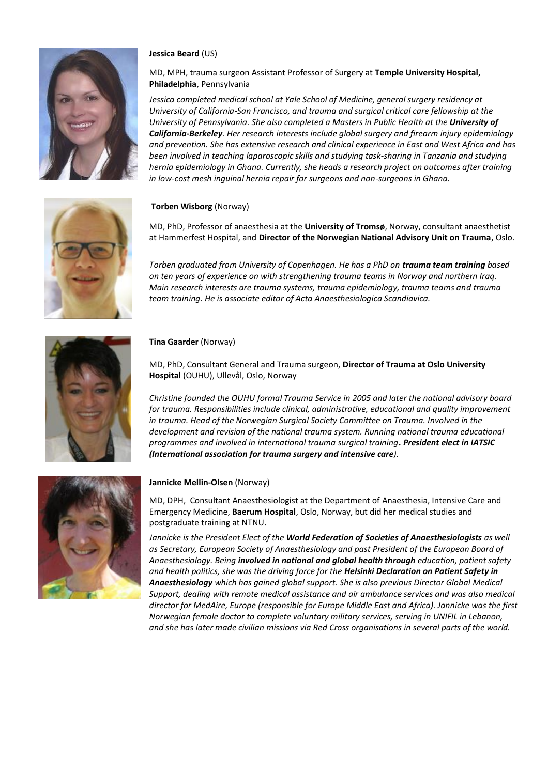

### **Jessica Beard** (US)

# MD, MPH, trauma surgeon Assistant Professor of Surgery at **Temple University Hospital, Philadelphia**, Pennsylvania

*Jessica completed medical school at Yale School of Medicine, general surgery residency at University of California-San Francisco, and trauma and surgical critical care fellowship at the University of Pennsylvania. She also completed a Masters in Public Health at the University of California-Berkeley. Her research interests include global surgery and firearm injury epidemiology and prevention. She has extensive research and clinical experience in East and West Africa and has been involved in teaching laparoscopic skills and studying task-sharing in Tanzania and studying hernia epidemiology in Ghana. Currently, she heads a research project on outcomes after training in low-cost mesh inguinal hernia repair for surgeons and non-surgeons in Ghana.*

# **Torben Wisborg** (Norway)

MD, PhD, Professor of anaesthesia at the **University of Tromsø**, Norway, consultant anaesthetist at Hammerfest Hospital, and **Director of the Norwegian National Advisory Unit on Trauma**, Oslo.

*Torben graduated from University of Copenhagen. He has a PhD on trauma team training based on ten years of experience on with strengthening trauma teams in Norway and northern Iraq. Main research interests are trauma systems, trauma epidemiology, trauma teams and trauma team training. He is associate editor of Acta Anaesthesiologica Scandiavica.*



### **Tina Gaarder** (Norway)

MD, PhD, Consultant General and Trauma surgeon, **Director of Trauma at Oslo University Hospital** (OUHU), Ullevål, Oslo, Norway

*Christine founded the OUHU formal Trauma Service in 2005 and later the national advisory board for trauma. Responsibilities include clinical, administrative, educational and quality improvement in trauma. Head of the Norwegian Surgical Society Committee on Trauma. Involved in the development and revision of the national trauma system. Running national trauma educational programmes and involved in international trauma surgical training. President elect in IATSIC (International association for trauma surgery and intensive care).*



### **Jannicke Mellin-Olsen** (Norway)

MD, DPH, Consultant Anaesthesiologist at the Department of Anaesthesia, Intensive Care and Emergency Medicine, **Baerum Hospital**, Oslo, Norway, but did her medical studies and postgraduate training at NTNU.

*Jannicke is the President Elect of the World Federation of Societies of Anaesthesiologists as well as Secretary, European Society of Anaesthesiology and past President of the European Board of Anaesthesiology. Being involved in national and global health through education, patient safety and health politics, she was the driving force for the Helsinki Declaration on Patient Safety in Anaesthesiology which has gained global support. She is also previous Director Global Medical Support, dealing with remote medical assistance and air ambulance services and was also medical director for MedAire, Europe (responsible for Europe Middle East and Africa). Jannicke was the first Norwegian female doctor to complete voluntary military services, serving in UNIFIL in Lebanon, and she has later made civilian missions via Red Cross organisations in several parts of the world.*